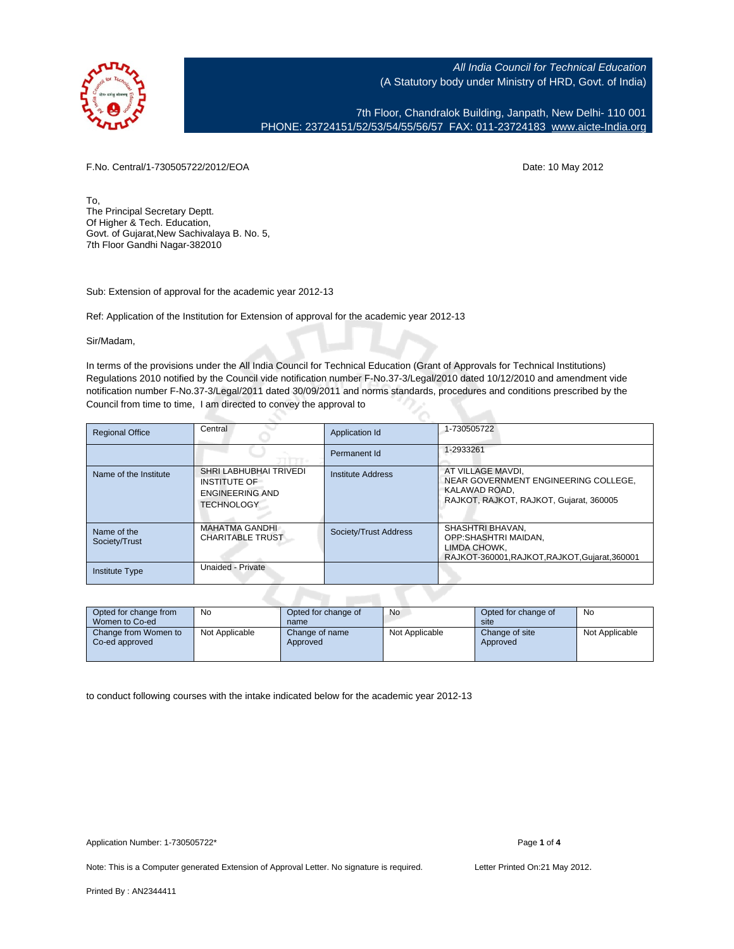

7th Floor, Chandralok Building, Janpath, New Delhi- 110 001 PHONE: 23724151/52/53/54/55/56/57 FAX: 011-23724183 [www.aicte-India.org](http://www.aicte-India.org)

F.No. Central/1-730505722/2012/EOA Date: 10 May 2012

To, The Principal Secretary Deptt. Of Higher & Tech. Education, Govt. of Gujarat,New Sachivalaya B. No. 5, 7th Floor Gandhi Nagar-382010

Sub: Extension of approval for the academic year 2012-13

Ref: Application of the Institution for Extension of approval for the academic year 2012-13

Sir/Madam,

In terms of the provisions under the All India Council for Technical Education (Grant of Approvals for Technical Institutions) Regulations 2010 notified by the Council vide notification number F-No.37-3/Legal/2010 dated 10/12/2010 and amendment vide notification number F-No.37-3/Legal/2011 dated 30/09/2011 and norms standards, procedures and conditions prescribed by the Council from time to time, I am directed to convey the approval to

| <b>Regional Office</b>       | Central                                                                               | Application Id        | 1-730505722                                                                                                           |
|------------------------------|---------------------------------------------------------------------------------------|-----------------------|-----------------------------------------------------------------------------------------------------------------------|
|                              |                                                                                       | Permanent Id          | 1-2933261                                                                                                             |
| Name of the Institute        | SHRI LABHUBHAI TRIVEDI<br>INSTITUTE OF<br><b>ENGINEERING AND</b><br><b>TECHNOLOGY</b> | Institute Address     | AT VILLAGE MAVDI.<br>NEAR GOVERNMENT ENGINEERING COLLEGE.<br>KALAWAD ROAD.<br>RAJKOT, RAJKOT, RAJKOT, Gujarat, 360005 |
| Name of the<br>Society/Trust | <b>MAHATMA GANDHI</b><br><b>CHARITABLE TRUST</b>                                      | Society/Trust Address | SHASHTRI BHAVAN.<br>OPP:SHASHTRI MAIDAN.<br>LIMDA CHOWK.<br>RAJKOT-360001.RAJKOT.RAJKOT.Gujarat.360001                |
| <b>Institute Type</b>        | Unaided - Private                                                                     |                       |                                                                                                                       |

| Opted for change from<br>Women to Co-ed | No             | Opted for change of<br>name | <b>No</b>      | Opted for change of<br>site | No             |
|-----------------------------------------|----------------|-----------------------------|----------------|-----------------------------|----------------|
| Change from Women to<br>Co-ed approved  | Not Applicable | Change of name<br>Approved  | Not Applicable | Change of site<br>Approved  | Not Applicable |

to conduct following courses with the intake indicated below for the academic year 2012-13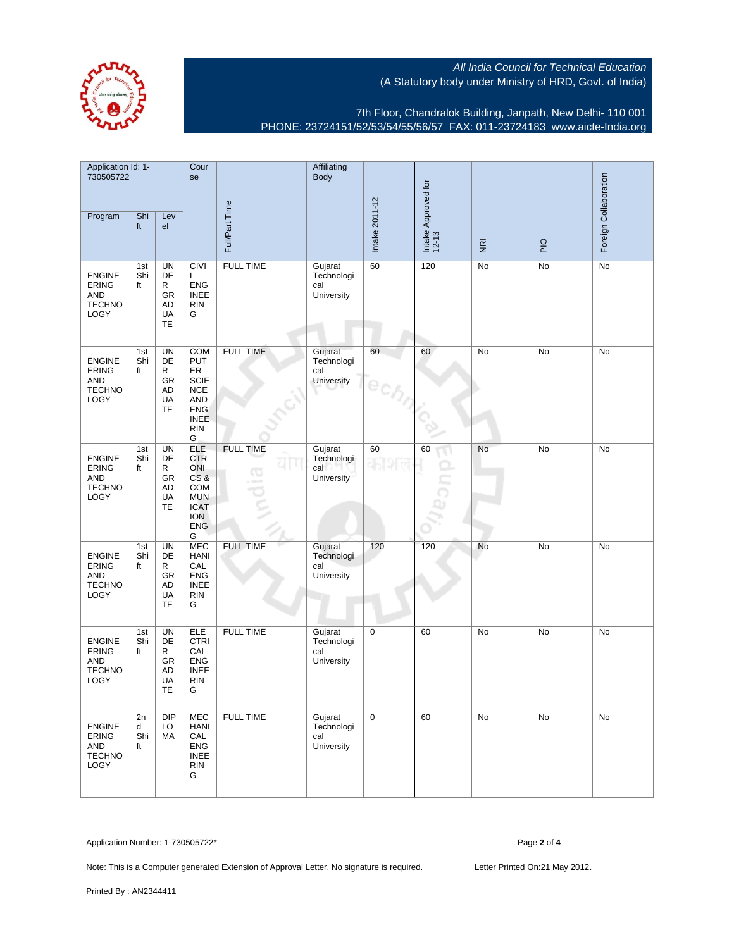7th Floor, Chandralok Building, Janpath, New Delhi- 110 001 PHONE: 23724151/52/53/54/55/56/57 FAX: 011-23724183 [www.aicte-India.org](http://www.aicte-India.org)

| Application Id: 1-<br>730505722                                             |                      | Cour<br>se                                                 |                                                                                                                           | Affiliating<br><b>Body</b>    |                                            |                |                              |                         |     |                       |
|-----------------------------------------------------------------------------|----------------------|------------------------------------------------------------|---------------------------------------------------------------------------------------------------------------------------|-------------------------------|--------------------------------------------|----------------|------------------------------|-------------------------|-----|-----------------------|
| Program                                                                     | Shi<br>ft            | Lev<br>el                                                  |                                                                                                                           | Full/Part Time                |                                            | Intake 2011-12 | Intake Approved for<br>12-13 | $\overline{\mathbf{g}}$ | PIO | Foreign Collaboration |
| <b>ENGINE</b><br><b>ERING</b><br><b>AND</b><br><b>TECHNO</b><br><b>LOGY</b> | 1st<br>Shi<br>ft     | UN<br>DE<br>R<br>GR<br>AD<br>UA<br>TE                      | <b>CIVI</b><br>L<br><b>ENG</b><br><b>INEE</b><br><b>RIN</b><br>G                                                          | <b>FULL TIME</b>              | Gujarat<br>Technologi<br>cal<br>University | 60             | 120                          | No                      | No  | No                    |
| <b>ENGINE</b><br><b>ERING</b><br><b>AND</b><br><b>TECHNO</b><br>LOGY        | 1st<br>Shi<br>ft     | <b>UN</b><br>DE<br>R<br>GR<br>AD<br>UA<br>TE               | <b>COM</b><br><b>PUT</b><br>ER<br><b>SCIE</b><br><b>NCE</b><br><b>AND</b><br><b>ENG</b><br><b>INEE</b><br><b>RIN</b><br>G | <b>FULL TIME</b>              | Gujarat<br>Technologi<br>cal<br>University | 60             | 60                           | No                      | No  | No                    |
| <b>ENGINE</b><br><b>ERING</b><br><b>AND</b><br><b>TECHNO</b><br><b>LOGY</b> | 1st<br>Shi<br>ft     | UN<br>DE<br>R<br>GR<br>AD<br>UA<br>TE                      | <b>ELE</b><br><b>CTR</b><br>ONI<br>CS&<br>COM<br><b>MUN</b><br><b>ICAT</b><br><b>ION</b><br><b>ENG</b><br>G               | <b>FULL TIME</b><br><b>CO</b> | Gujarat<br>Technologi<br>cal<br>University | 60             | 60                           | No                      | No  | No                    |
| <b>ENGINE</b><br><b>ERING</b><br><b>AND</b><br><b>TECHNO</b><br>LOGY        | 1st<br>Shi<br>ft     | <b>UN</b><br>DE<br>R<br><b>GR</b><br><b>AD</b><br>UA<br>TE | <b>MEC</b><br><b>HANI</b><br>CAL<br><b>ENG</b><br><b>INEE</b><br><b>RIN</b><br>G                                          | <b>FULL TIME</b>              | Gujarat<br>Technologi<br>cal<br>University | 120            | 120                          | No                      | No  | No                    |
| <b>ENGINE</b><br><b>ERING</b><br><b>AND</b><br><b>TECHNO</b><br>LOGY        | 1st<br>Shi<br>ft     | UN<br>DE<br>R<br>GR<br>AD<br>UA<br>TE                      | ELE<br><b>CTRI</b><br>CAL<br><b>ENG</b><br><b>INEE</b><br><b>RIN</b><br>G                                                 | <b>FULL TIME</b>              | Gujarat<br>Technologi<br>cal<br>University | 0              | 60                           | No                      | No  | No                    |
| <b>ENGINE</b><br>ERING<br><b>AND</b><br><b>TECHNO</b><br>LOGY               | 2n<br>d<br>Shi<br>ft | <b>DIP</b><br>LO<br>МA                                     | <b>MEC</b><br><b>HANI</b><br>CAL<br><b>ENG</b><br><b>INEE</b><br><b>RIN</b><br>G                                          | <b>FULL TIME</b>              | Gujarat<br>Technologi<br>cal<br>University | 0              | 60                           | No                      | No  | No                    |

Application Number: 1-730505722\* Page **2** of **4**

Note: This is a Computer generated Extension of Approval Letter. No signature is required. Letter Printed On:21 May 2012.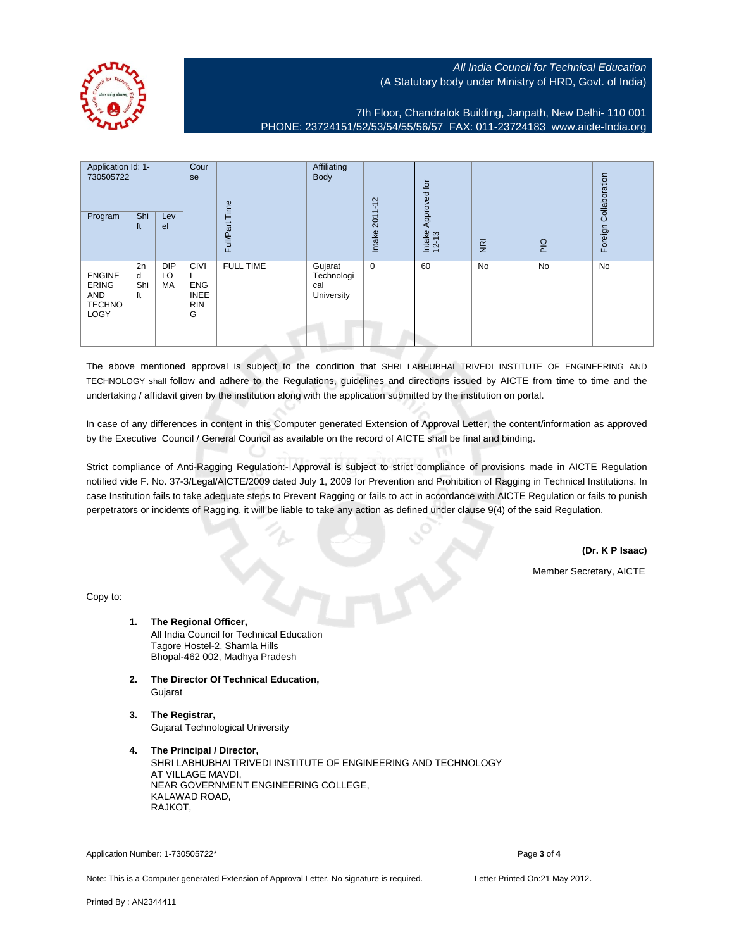

7th Floor, Chandralok Building, Janpath, New Delhi- 110 001 PHONE: 23724151/52/53/54/55/56/57 FAX: 011-23724183 [www.aicte-India.org](http://www.aicte-India.org)

| Application Id: 1-<br>730505722<br>Program                    | Shi<br>ft            | Lev<br>el              | Cour<br>se                                                       | jime<br>⊢<br>Full/Part | Affiliating<br>Body                               | $2011 - 12$<br>Intake | Approved for<br>Intake<br>12-13 | $\overline{g}$ | $\frac{1}{2}$ | Foreign Collaboration |
|---------------------------------------------------------------|----------------------|------------------------|------------------------------------------------------------------|------------------------|---------------------------------------------------|-----------------------|---------------------------------|----------------|---------------|-----------------------|
| <b>ENGINE</b><br><b>ERING</b><br>AND<br><b>TECHNO</b><br>LOGY | 2n<br>d<br>Shi<br>ft | <b>DIP</b><br>LO<br>МA | <b>CIVI</b><br>┕<br><b>ENG</b><br><b>INEE</b><br><b>RIN</b><br>G | <b>FULL TIME</b>       | Gujarat<br>Technologi<br>cal<br><b>University</b> | $\mathbf 0$           | 60                              | No             | <b>No</b>     | No                    |

The above mentioned approval is subject to the condition that SHRI LABHUBHAI TRIVEDI INSTITUTE OF ENGINEERING AND TECHNOLOGY shall follow and adhere to the Regulations, guidelines and directions issued by AICTE from time to time and the undertaking / affidavit given by the institution along with the application submitted by the institution on portal.

In case of any differences in content in this Computer generated Extension of Approval Letter, the content/information as approved by the Executive Council / General Council as available on the record of AICTE shall be final and binding.

Strict compliance of Anti-Ragging Regulation:- Approval is subject to strict compliance of provisions made in AICTE Regulation notified vide F. No. 37-3/Legal/AICTE/2009 dated July 1, 2009 for Prevention and Prohibition of Ragging in Technical Institutions. In case Institution fails to take adequate steps to Prevent Ragging or fails to act in accordance with AICTE Regulation or fails to punish perpetrators or incidents of Ragging, it will be liable to take any action as defined under clause 9(4) of the said Regulation.

**(Dr. K P Isaac)**

Member Secretary, AICTE

Copy to:

- **1. The Regional Officer,** All India Council for Technical Education Tagore Hostel-2, Shamla Hills Bhopal-462 002, Madhya Pradesh
- **2. The Director Of Technical Education,** Gujarat
- **3. The Registrar,** Gujarat Technological University
- **4. The Principal / Director,** SHRI LABHUBHAI TRIVEDI INSTITUTE OF ENGINEERING AND TECHNOLOGY AT VILLAGE MAVDI, NEAR GOVERNMENT ENGINEERING COLLEGE, KALAWAD ROAD, RAJKOT,

Application Number: 1-730505722\* Page **3** of 4

Note: This is a Computer generated Extension of Approval Letter. No signature is required. Letter Printed On:21 May 2012.